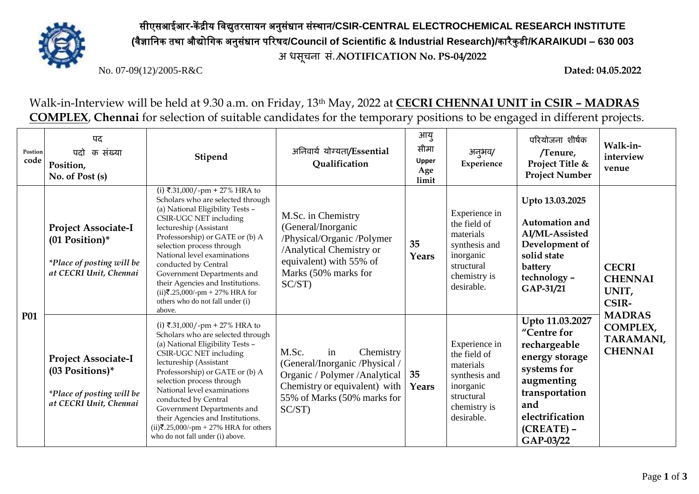

सीएसआईआर**-**कें द्रीय विद्युतरसायन अनुसंधान संस्थान**/CSIR-CENTRAL ELECTROCHEMICAL RESEARCH INSTITUTE (**िैज्ञावनक तथा औद्योविक अनुसंधान पररषद**/Council of Scientific & Industrial Research)/**कारैकु डी**/KARAIKUDI – 630 003 अ िसूचना सं./NOTIFICATION No. PS-04/2022**

No. 07-09(12)/2005-R&C **Dated: 04.05.2022**

Walk-in-Interview will be held at 9.30 a.m. on Friday, 13th May, 2022 at **CECRI CHENNAI UNIT in CSIR – MADRAS COMPLEX**, **Chennai** for selection of suitable candidates for the temporary positions to be engaged in different projects.

| Postion<br>code | पद<br>क संख्या<br>पटो<br>Position,<br>No. of Post (s)                                                  | Stipend                                                                                                                                                                                                                                                                                                                                                                                                                                           | अनिवार्य योग्यता/Essential<br>Qualification                                                                                                                                            | आयु<br>सीमा<br>Upper<br>Age<br>limit | अनुभव/<br>Experience                                                                                                 | परियोजना शीर्षक<br>/Tenure,<br>Project Title &<br><b>Project Number</b>                                                                                                | Walk-in-<br>interview<br>venue                                                                                             |
|-----------------|--------------------------------------------------------------------------------------------------------|---------------------------------------------------------------------------------------------------------------------------------------------------------------------------------------------------------------------------------------------------------------------------------------------------------------------------------------------------------------------------------------------------------------------------------------------------|----------------------------------------------------------------------------------------------------------------------------------------------------------------------------------------|--------------------------------------|----------------------------------------------------------------------------------------------------------------------|------------------------------------------------------------------------------------------------------------------------------------------------------------------------|----------------------------------------------------------------------------------------------------------------------------|
| P01             | <b>Project Associate-I</b><br>$(01$ Position)*<br>*Place of posting will be<br>at CECRI Unit, Chennai  | (i) ₹.31,000/-pm + 27% HRA to<br>Scholars who are selected through<br>(a) National Eligibility Tests -<br>CSIR-UGC NET including<br>lectureship (Assistant<br>Professorship) or GATE or (b) A<br>selection process through<br>National level examinations<br>conducted by Central<br>Government Departments and<br>their Agencies and Institutions.<br>$(ii)$ ₹.25,000/-pm + 27% HRA for<br>others who do not fall under (i)<br>above.            | M.Sc. in Chemistry<br>(General/Inorganic<br>/Physical/Organic /Polymer<br>/Analytical Chemistry or<br>equivalent) with 55% of<br>Marks (50% marks for<br>$SC/ST$ )                     | 35<br>Years                          | Experience in<br>the field of<br>materials<br>synthesis and<br>inorganic<br>structural<br>chemistry is<br>desirable. | Upto 13.03.2025<br><b>Automation and</b><br>AI/ML-Assisted<br>Development of<br>solid state<br>battery<br>technology -<br>GAP-31/21                                    | <b>CECRI</b><br><b>CHENNAI</b><br>UNIT,<br><b>CSIR-</b><br><b>MADRAS</b><br><b>COMPLEX,</b><br>TARAMANI,<br><b>CHENNAI</b> |
|                 | <b>Project Associate-I</b><br>$(03$ Positions)*<br>*Place of posting will be<br>at CECRI Unit, Chennai | (i) ₹.31,000/-pm + 27% HRA to<br>Scholars who are selected through<br>(a) National Eligibility Tests -<br>CSIR-UGC NET including<br>lectureship (Assistant<br>Professorship) or GATE or (b) A<br>selection process through<br>National level examinations<br>conducted by Central<br>Government Departments and<br>their Agencies and Institutions.<br>(ii) $\overline{\xi}$ .25,000/-pm + 27% HRA for others<br>who do not fall under (i) above. | M.Sc.<br>Chemistry<br>in<br>(General/Inorganic /Physical /<br>Organic / Polymer / Analytical   35<br>Chemistry or equivalent) with $\vert$<br>55% of Marks (50% marks for<br>$SC/ST$ ) | Years                                | Experience in<br>the field of<br>materials<br>synthesis and<br>inorganic<br>structural<br>chemistry is<br>desirable. | Upto 11.03.2027<br>"Centre for<br>rechargeable<br>energy storage<br>systems for<br>augmenting<br>transportation<br>and<br>electrification<br>$(CREATE)$ –<br>GAP-03/22 |                                                                                                                            |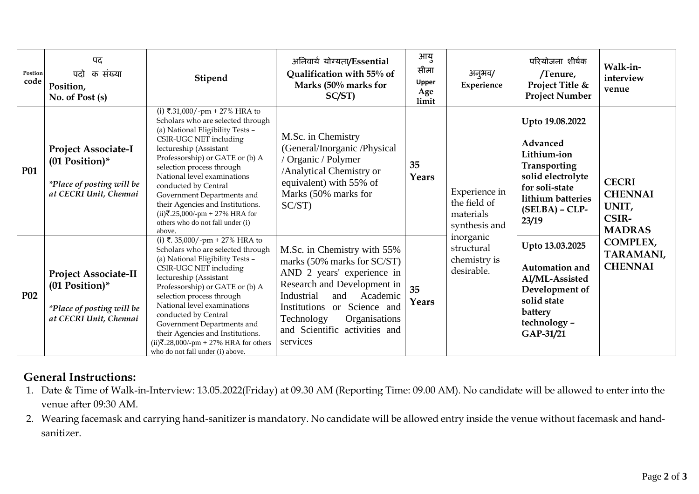| Postion<br>code | पद<br>क संख्या<br>पदो<br>Position,<br>No. of Post (s)                                                        | Stipend                                                                                                                                                                                                                                                                                                                                                                                                                                            | अनिवार्य योग्यता/Essential<br>Qualification with 55% of<br>Marks (50% marks for<br>SC/ST)                                                                                                                                                                           | आयु<br>सीमा<br><b>Upper</b><br>Age<br>limit | अनूभव/<br>Experience                                        | परियोजना शीर्षक<br>/Tenure,<br>Project Title &<br><b>Project Number</b>                                                                             | Walk-in-<br>interview<br>venue                                                                                                    |
|-----------------|--------------------------------------------------------------------------------------------------------------|----------------------------------------------------------------------------------------------------------------------------------------------------------------------------------------------------------------------------------------------------------------------------------------------------------------------------------------------------------------------------------------------------------------------------------------------------|---------------------------------------------------------------------------------------------------------------------------------------------------------------------------------------------------------------------------------------------------------------------|---------------------------------------------|-------------------------------------------------------------|-----------------------------------------------------------------------------------------------------------------------------------------------------|-----------------------------------------------------------------------------------------------------------------------------------|
| <b>P01</b>      | <b>Project Associate-I</b><br>$(01$ Position)*<br><i>*Place of posting will be</i><br>at CECRI Unit, Chennai | (i) ₹.31,000/-pm + 27% HRA to<br>Scholars who are selected through<br>(a) National Eligibility Tests -<br>CSIR-UGC NET including<br>lectureship (Assistant<br>Professorship) or GATE or (b) A<br>selection process through<br>National level examinations<br>conducted by Central<br>Government Departments and<br>their Agencies and Institutions.<br>$(ii)$ ₹.25,000/-pm + 27% HRA for<br>others who do not fall under (i)<br>above.             | M.Sc. in Chemistry<br>(General/Inorganic /Physical<br>/ Organic / Polymer<br>/Analytical Chemistry or<br>equivalent) with 55% of<br>Marks (50% marks for<br>$SC/ST$ )                                                                                               | 35<br>Years                                 | Experience in<br>the field of<br>materials<br>synthesis and | Upto 19.08.2022<br>Advanced<br>Lithium-ion<br>Transporting<br>solid electrolyte<br>for soli-state<br>lithium batteries<br>$(SELBA) - CLP-$<br>23/19 | <b>CECRI</b><br><b>CHENNAI</b><br>UNIT,<br><b>CSIR-</b><br><b>MADRAS</b><br><b>COMPLEX,</b><br><b>TARAMANI,</b><br><b>CHENNAI</b> |
| <b>P02</b>      | <b>Project Associate-II</b><br>$(01$ Position)*<br>*Place of posting will be<br>at CECRI Unit, Chennai       | (i) ₹. 35,000/-pm + 27% HRA to<br>Scholars who are selected through<br>(a) National Eligibility Tests -<br>CSIR-UGC NET including<br>lectureship (Assistant<br>Professorship) or GATE or (b) A<br>selection process through<br>National level examinations<br>conducted by Central<br>Government Departments and<br>their Agencies and Institutions.<br>(ii) $\overline{\xi}$ .28,000/-pm + 27% HRA for others<br>who do not fall under (i) above. | M.Sc. in Chemistry with 55%<br>marks (50% marks for SC/ST)<br>AND 2 years' experience in<br>Research and Development in<br>Industrial<br>and<br>Academic<br>Institutions or Science and<br>Technology<br>Organisations<br>and Scientific activities and<br>services | 35<br>Years                                 | inorganic<br>structural<br>chemistry is<br>desirable.       | Upto 13.03.2025<br><b>Automation and</b><br>AI/ML-Assisted<br>Development of<br>solid state<br>battery<br>technology -<br>GAP-31/21                 |                                                                                                                                   |

## **General Instructions:**

- 1. Date & Time of Walk-in-Interview: 13.05.2022(Friday) at 09.30 AM (Reporting Time: 09.00 AM). No candidate will be allowed to enter into the venue after 09:30 AM.
- 2. Wearing facemask and carrying hand-sanitizer is mandatory. No candidate will be allowed entry inside the venue without facemask and handsanitizer.